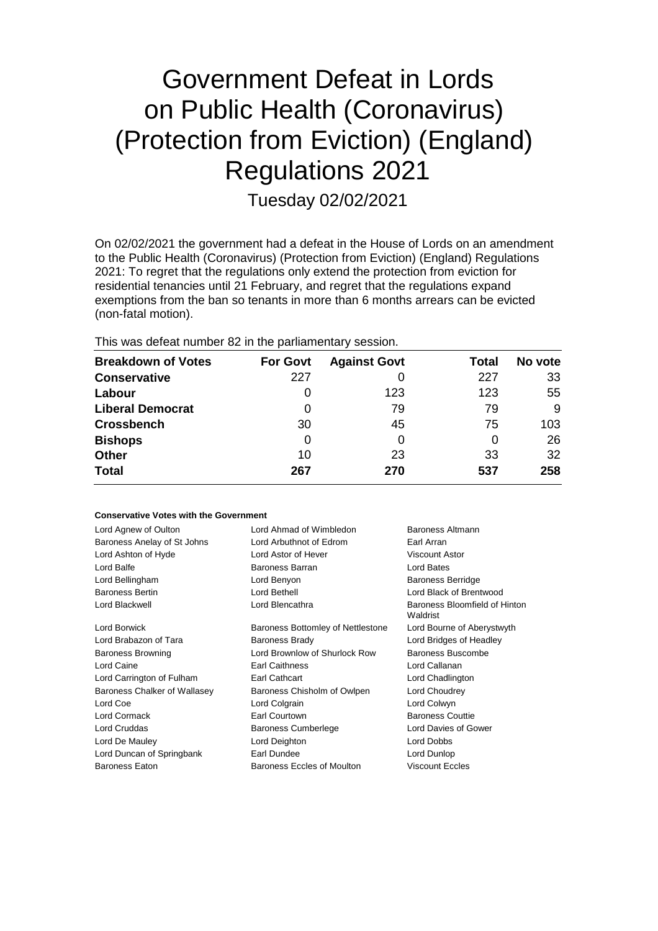# Government Defeat in Lords on Public Health (Coronavirus) (Protection from Eviction) (England) Regulations 2021

Tuesday 02/02/2021

On 02/02/2021 the government had a defeat in the House of Lords on an amendment to the Public Health (Coronavirus) (Protection from Eviction) (England) Regulations 2021: To regret that the regulations only extend the protection from eviction for residential tenancies until 21 February, and regret that the regulations expand exemptions from the ban so tenants in more than 6 months arrears can be evicted (non-fatal motion).

This was defeat number 82 in the parliamentary session.

| <b>Breakdown of Votes</b> | <b>For Govt</b> | <b>Against Govt</b> | Total | No vote |
|---------------------------|-----------------|---------------------|-------|---------|
| <b>Conservative</b>       | 227             |                     | 227   | 33      |
| Labour                    | O               | 123                 | 123   | 55      |
| <b>Liberal Democrat</b>   | 0               | 79                  | 79    | 9       |
| <b>Crossbench</b>         | 30              | 45                  | 75    | 103     |
| <b>Bishops</b>            | 0               | 0                   | 0     | 26      |
| <b>Other</b>              | 10              | 23                  | 33    | 32      |
| <b>Total</b>              | 267             | 270                 | 537   | 258     |

## **Conservative Votes with the Government**

| Lord Agnew of Oulton         | Lord Ahmad of Wimbledon           | Baroness Altmann                          |  |
|------------------------------|-----------------------------------|-------------------------------------------|--|
| Baroness Anelay of St Johns  | Lord Arbuthnot of Edrom           | Earl Arran                                |  |
| Lord Ashton of Hyde          | Lord Astor of Hever               | <b>Viscount Astor</b>                     |  |
| Lord Balfe                   | Baroness Barran                   | Lord Bates                                |  |
| Lord Bellingham              | Lord Benyon                       | <b>Baroness Berridge</b>                  |  |
| <b>Baroness Bertin</b>       | Lord Bethell                      | Lord Black of Brentwood                   |  |
| Lord Blackwell               | Lord Blencathra                   | Baroness Bloomfield of Hinton<br>Waldrist |  |
| Lord Borwick                 | Baroness Bottomley of Nettlestone | Lord Bourne of Aberystwyth                |  |
| Lord Brabazon of Tara        | <b>Baroness Brady</b>             | Lord Bridges of Headley                   |  |
| <b>Baroness Browning</b>     | Lord Brownlow of Shurlock Row     | Baroness Buscombe                         |  |
| Lord Caine                   | <b>Earl Caithness</b>             | Lord Callanan                             |  |
| Lord Carrington of Fulham    | Earl Cathcart                     | Lord Chadlington                          |  |
| Baroness Chalker of Wallasey | Baroness Chisholm of Owlpen       | Lord Choudrey                             |  |
| Lord Coe                     | Lord Colgrain                     | Lord Colwyn                               |  |
| Lord Cormack                 | Earl Courtown                     | <b>Baroness Couttie</b>                   |  |
| Lord Cruddas                 | Baroness Cumberlege               | Lord Davies of Gower                      |  |
| Lord De Mauley               | Lord Deighton                     | Lord Dobbs                                |  |
| Lord Duncan of Springbank    | Earl Dundee                       | Lord Dunlop                               |  |
| <b>Baroness Eaton</b>        | Baroness Eccles of Moulton        | <b>Viscount Eccles</b>                    |  |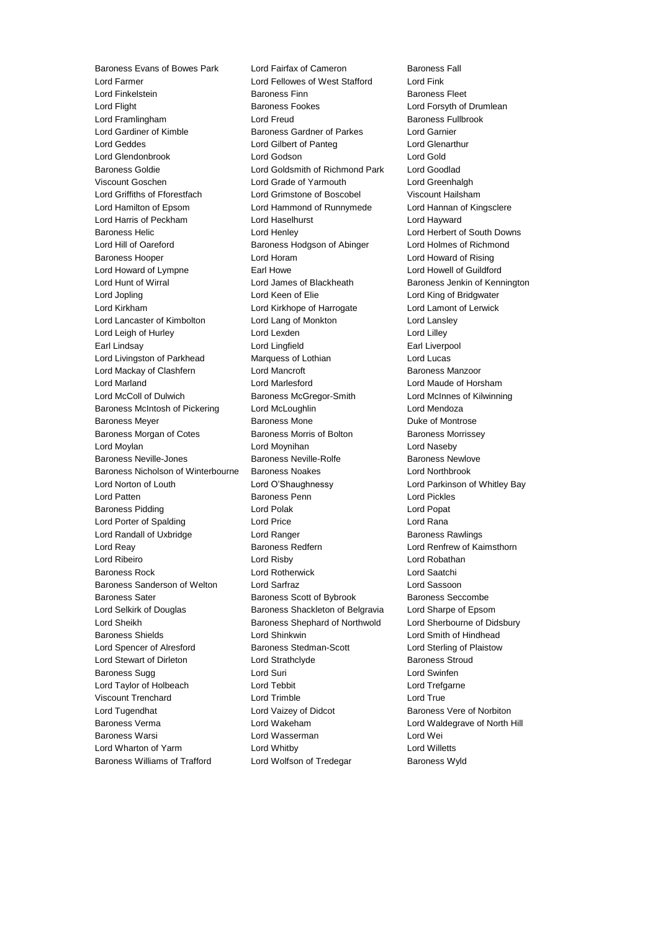Lord Farmer Lord Fellowes of West Stafford Lord Fink Lord Finkelstein Baroness Finn Baroness Fleet Lord Flight Baroness Fookes Lord Forsyth of Drumlean Lord Framlingham Lord Freud Baroness Fullbrook Lord Gardiner of Kimble Baroness Gardner of Parkes Lord Garnier Lord Geddes Lord Gilbert of Panteg Lord Glenarthur Lord Glendonbrook Lord Godson Lord Gold Baroness Goldie Lord Goldsmith of Richmond Park Lord Goodlad Viscount Goschen Lord Grade of Yarmouth Lord Greenhalgh Lord Griffiths of Fforestfach Lord Grimstone of Boscobel Viscount Hailsham Lord Hamilton of Epsom Lord Hammond of Runnymede Lord Hannan of Kingsclere Lord Harris of Peckham Lord Haselhurst Lord Hayward Baroness Helic Lord Henley Lord Herbert of South Downs Lord Hill of Oareford **Baroness Hodgson of Abinger** Lord Holmes of Richmond Baroness Hooper Lord Horam Lord Howard of Rising Lord Howard of Lympne **Earl Howe** Earl Howe Lord Howell of Guildford Lord Hunt of Wirral **Lord James of Blackheath** Baroness Jenkin of Kennington Lord Jopling Lord Keen of Elie Lord King of Bridgwater Lord Kirkham Lord Kirkhope of Harrogate Lord Lamont of Lerwick Lord Lancaster of Kimbolton Lord Lang of Monkton Lord Lansley Lord Leigh of Hurley **Lord Lexden** Lord Lexden **Lord Lilley** Earl Lindsay **Lord Lingfield** Earl Liverpool Lord Livingston of Parkhead Marquess of Lothian Cord Lucas Lord Mackay of Clashfern **Lord Mancroft** Baroness Manzoor Lord Marland Lord Marlesford Lord Maude of Horsham Lord McColl of Dulwich Baroness McGregor-Smith Lord McInnes of Kilwinning Baroness McIntosh of Pickering Lord McLoughlin Lord Mendoza Baroness Meyer **Baroness Mone** Baroness Mone **Duke of Montrose** Baroness Morgan of Cotes **Baroness Morris of Bolton** Baroness Morrissey Lord Moylan Lord Moynihan Lord Naseby Baroness Neville-Jones Baroness Neville-Rolfe Baroness Newlove Baroness Nicholson of Winterbourne Baroness Noakes Lord Northbrook Lord Norton of Louth Lord O'Shaughnessy Lord Parkinson of Whitley Bay Lord Patten Baroness Penn Lord Pickles Baroness Pidding Lord Polak Lord Popat Lord Porter of Spalding Lord Price Lord Rana Lord Randall of Uxbridge **Lord Ranger** Lord Ranger **Baroness Rawlings** Lord Reay Baroness Redfern Lord Renfrew of Kaimsthorn Lord Ribeiro Lord Risby Lord Robathan Baroness Rock Lord Rotherwick Lord Saatchi Baroness Sanderson of Welton Lord Sarfraz Lord Sassoon Baroness Sater Baroness Scott of Bybrook Baroness Seccombe Lord Selkirk of Douglas **Baroness Shackleton of Belgravia** Lord Sharpe of Epsom Lord Sheikh **Baroness Shephard of Northwold** Lord Sherbourne of Didsbury Baroness Shields Lord Shinkwin Lord Smith of Hindhead Lord Spencer of Alresford Baroness Stedman-Scott Lord Sterling of Plaistow Lord Stewart of Dirleton Lord Strathclyde Baroness Stroud Baroness Sugg **Communist Supplement Communist Communist Communist Communist Communist Communist Communist Communist Communist Communist Communist Communist Communist Communist Communist Communist Communist Communist Commun** Lord Taylor of Holbeach Lord Tebbit Lord Trefgarne Viscount Trenchard Lord Trimble Lord True Lord Tugendhat **Lord Vaizey of Didcot** Baroness Vere of Norbiton Baroness Verma Lord Wakeham Lord Waldegrave of North Hill Baroness Warsi Lord Wasserman Lord Wei Lord Wharton of Yarm Lord Whitby Lord Willetts Baroness Williams of Trafford Lord Wolfson of Tredegar Baroness Wyld

Baroness Evans of Bowes Park Lord Fairfax of Cameron Baroness Fall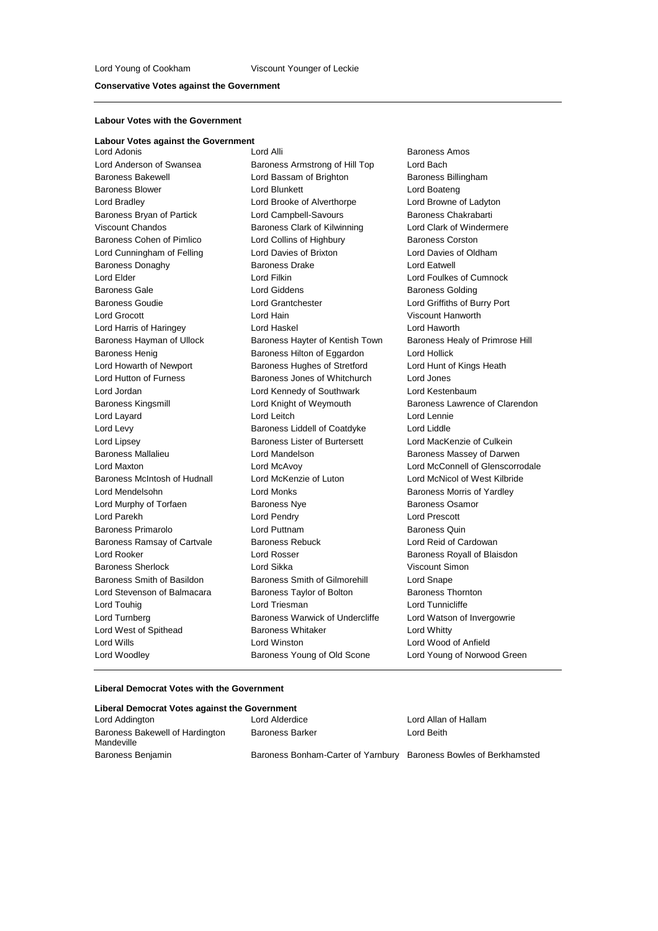#### **Conservative Votes against the Government**

#### **Labour Votes with the Government**

**Labour Votes against the Government** Lord Woodley **Baroness Young of Old Scone** Lord Young of Norwood Green

Lord Anderson of Swansea **Baroness Armstrong of Hill Top** Lord Bach Baroness Bakewell **Bassam of Brighton** Baroness Billingham Baroness Blower Lord Blunkett Lord Boateng Lord Bradley Lord Brooke of Alverthorpe Lord Browne of Ladyton Baroness Bryan of Partick Lord Campbell-Savours Baroness Chakrabarti Viscount Chandos **Baroness Clark of Kilwinning** Lord Clark of Windermere Baroness Cohen of Pimlico Lord Collins of Highbury Baroness Corston Lord Cunningham of Felling Lord Davies of Brixton Lord Davies of Oldham Baroness Donaghy **Baroness Drake** Lord Eatwell Lord Elder Lord Filkin Lord Foulkes of Cumnock Baroness Gale **Baroness Golding** Lord Giddens **Baroness Golding** Baroness Golding Baroness Goudie Lord Grantchester Lord Griffiths of Burry Port Lord Grocott Lord Hain Viscount Hanworth Lord Harris of Haringey Lord Haskel Lord Haworth Baroness Hayman of Ullock Baroness Hayter of Kentish Town Baroness Healy of Primrose Hill Baroness Henig Baroness Hilton of Eggardon Lord Hollick Lord Howarth of Newport Baroness Hughes of Stretford Lord Hunt of Kings Heath Lord Hutton of Furness **Baroness Jones of Whitchurch** Lord Jones Lord Jordan Lord Kennedy of Southwark Lord Kestenbaum Lord Layard Lord Leitch Lord Lennie Lord Levy Baroness Liddell of Coatdyke Lord Liddle Lord Lipsey Baroness Lister of Burtersett Lord MacKenzie of Culkein Baroness Mallalieu **Baroness Mannieus Contract Contract Contract Contract Contract Contract Contract Contract Contract Contract Contract Contract Contract Contract Contract Contract Contract Contract Contract Contract Cont** Baroness McIntosh of Hudnall Lord McKenzie of Luton Lord McNicol of West Kilbride<br>
Lord Mendelsohn Lord Monks Cord Monks Baroness Morris of Yardley Lord Monks **Baroness Morris of Yardley** Lord Murphy of Torfaen **Baroness Nye** Baroness Osamor Lord Parekh Lord Pendry Lord Prescott Baroness Primarolo Lord Puttnam Baroness Quin Baroness Ramsay of Cartvale Baroness Rebuck Lord Reid of Cardowan Lord Rooker **Lord Rosser** Lord Rosser **Baroness Royall of Blaisdon** Baroness Sherlock Lord Sikka Viscount Simon Baroness Smith of Basildon Baroness Smith of Gilmorehill Lord Snape Lord Stevenson of Balmacara Baroness Taylor of Bolton Baroness Thornton Lord Touhig **Lord Triesman** Lord Triesman **Lord Tunnicliffe** Lord Turnberg **Baroness Warwick of Undercliffe** Lord Watson of Invergowrie Lord West of Spithead **Baroness Whitaker** Lord Whitty Lord Wills Lord Winston Lord Wood of Anfield

Baroness Amos Baroness Kingsmill **Example 2** Lord Knight of Weymouth **Baroness Lawrence of Clarendon** Lord Maxton Lord McAvoy Lord McConnell of Glenscorrodale

#### **Liberal Democrat Votes with the Government**

| Liberal Democrat Votes against the Government |                                                                   |                      |  |  |  |
|-----------------------------------------------|-------------------------------------------------------------------|----------------------|--|--|--|
| Lord Addington                                | Lord Alderdice                                                    | Lord Allan of Hallam |  |  |  |
| Baroness Bakewell of Hardington<br>Mandeville | <b>Baroness Barker</b>                                            | Lord Beith           |  |  |  |
| Baroness Benjamin                             | Baroness Bonham-Carter of Yarnbury Baroness Bowles of Berkhamsted |                      |  |  |  |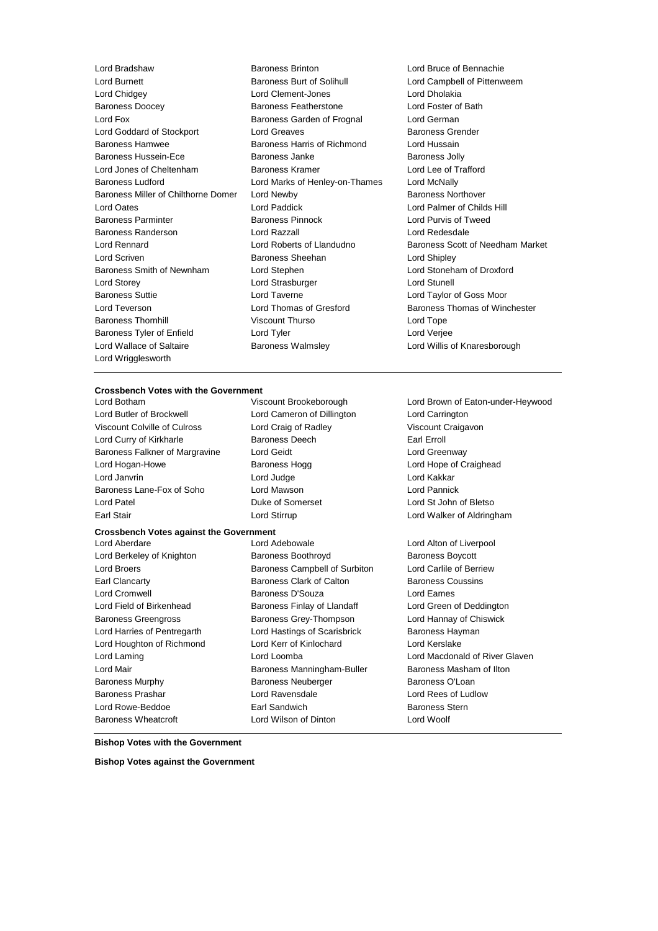Lord Burnett Baroness Burt of Solihull Lord Campbell of Pittenweem Lord Chidgey Lord Clement-Jones Lord Dholakia Baroness Doocey Baroness Featherstone Lord Fox **Baroness Garden of Frognal** Lord German Lord Goddard of Stockport Lord Greaves **Baroness Grender** Baroness Hamwee **Baroness Harris of Richmond** Lord Hussain Baroness Hussein-Ece **Baroness** Janke Baroness Janke Baroness Jolly Lord Jones of Cheltenham Baroness Kramer Lord Lee of Trafford Baroness Ludford Lord Marks of Henley-on-Thames Lord McNally Baroness Miller of Chilthorne Domer Lord Newby **Baroness Northover** Baroness Northover Lord Oates Lord Paddick Lord Palmer of Childs Hill Baroness Parminter Baroness Pinnock Lord Purvis of Tweed Baroness Randerson Lord Razzall Lord Redesdale Lord Rennard Lord Roberts of Llandudno Baroness Scott of Needham Market Lord Scriven **Baroness Sheehan** Lord Shipley Baroness Smith of Newnham Lord Stephen Lord Stoneham of Droxford Lord Storey Lord Strasburger Lord Stunell Baroness Suttie Lord Taverne Lord Taylor of Goss Moor Lord Teverson Lord Thomas of Gresford Baroness Thomas of Winchester Baroness Thornhill **Example 20** Viscount Thurso **Viscount Thurso** Lord Tope Baroness Tyler of Enfield Lord Tyler Lord Tyler Lord Verjee Lord Wallace of Saltaire **Baroness Walmsley Communist Cord Willis of Knaresborough** Lord Wrigglesworth

Lord Bradshaw Baroness Brinton Lord Bruce of Bennachie

#### **Crossbench Votes with the Government**

Lord Butler of Brockwell **Lord Cameron of Dillington** Lord Carrington Viscount Colville of Culross Lord Craig of Radley Viscount Craigavon Lord Curry of Kirkharle **Earl Example 20** Baroness Deech **Earl Erroll** Baroness Falkner of Margravine Lord Geidt Corresponding Lord Greenway Lord Hogan-Howe **Baroness Hogg Communist Hotel Hope of Craighead** Lord Janvrin Lord Judge Lord Kakkar Baroness Lane-Fox of Soho Lord Mawson Lord Pannick Lord Patel Duke of Somerset Lord St John of Bletso

Lord Botham Viscount Brookeborough Lord Brown of Eaton-under-Heywood

# **Crossbench Votes against the Government**

Lord Berkeley of Knighton **Baroness Boothroyd** Baroness Boycott Lord Broers **Baroness Campbell of Surbiton** Lord Carlile of Berriew Earl Clancarty Baroness Clark of Calton Baroness Coussins Lord Cromwell Baroness D'Souza Lord Eames Lord Field of Birkenhead **Baroness Finlay of Llandaff** Lord Green of Deddington Baroness Greengross **Baroness Grey-Thompson** Lord Hannay of Chiswick Lord Harries of Pentregarth Lord Hastings of Scarisbrick Baroness Hayman Lord Houghton of Richmond Lord Kerr of Kinlochard Lord Kerslake Lord Mair **Baroness Manningham-Buller** Baroness Masham of Ilton Baroness Murphy **Baroness Neuberger** Baroness O'Loan Baroness Prashar Lord Ravensdale Lord Rees of Ludlow Lord Rowe-Beddoe **Earl Sandwich** Baroness Stern Baroness Wheatcroft Lord Wilson of Dinton Lord Woolf

Earl Stair Lord Stirrup Lord Walker of Aldringham Lord Aberdare Lord Adebowale Lord Alton of Liverpool

Lord Laming Lord Loomba Lord Macdonald of River Glaven

**Bishop Votes with the Government**

**Bishop Votes against the Government**